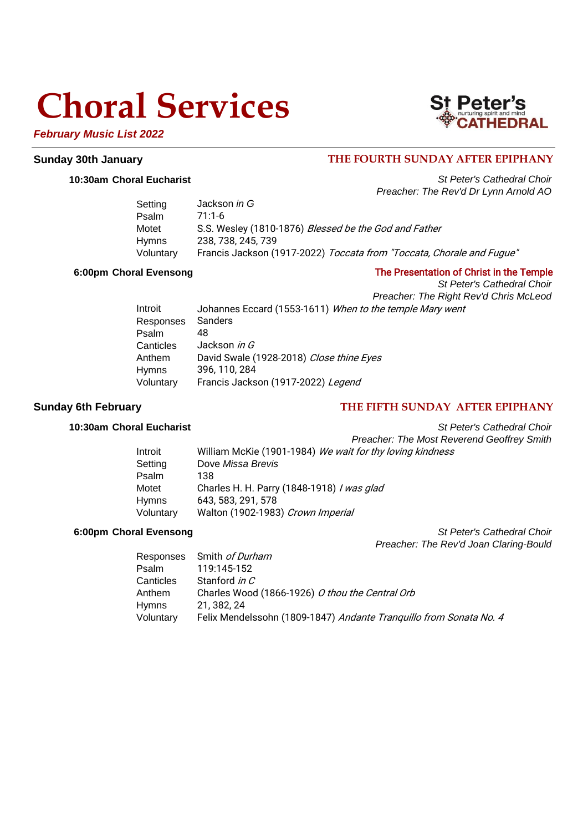## **Choral Services**



## **Sunday 30th January THE FOURTH SUNDAY AFTER EPIPHANY**

**10:30am Choral Eucharist** *St Peter's Cathedral Choir Preacher: The Rev'd Dr Lynn Arnold AO*

St Peter's

| Setting      | Jackson <i>in G</i>                                                   |
|--------------|-----------------------------------------------------------------------|
| Psalm        | 71.1-6                                                                |
| Motet        | S.S. Wesley (1810-1876) Blessed be the God and Father                 |
| <b>Hymns</b> | 238, 738, 245, 739                                                    |
| Voluntary    | Francis Jackson (1917-2022) Toccata from "Toccata, Chorale and Fugue" |

### **6:00pm Choral Evensong** The Presentation of Christ in the Temple

*St Peter's Cathedral Choir Preacher: The Right Rev'd Chris McLeod* Introit Johannes Eccard (1553-1611) When to the temple Mary went Responses Sanders Psalm 48 Canticles Jackson in G Anthem David Swale (1928-2018) Close thine Eyes Hymns 396, 110, 284 Voluntary Francis Jackson (1917-2022) Legend

## **Sunday 6th February THE FIFTH SUNDAY AFTER EPIPHANY**

**10:30am Choral Eucharist** *St Peter's Cathedral Choir Preacher: The Most Reverend Geoffrey Smith*

| Introit      | William McKie (1901-1984) We wait for thy loving kindness |
|--------------|-----------------------------------------------------------|
| Setting      | Dove Missa Brevis                                         |
| Psalm        | 138                                                       |
| Motet        | Charles H. H. Parry (1848-1918) / was glad                |
| <b>Hymns</b> | 643, 583, 291, 578                                        |
| Voluntary    | Walton (1902-1983) Crown Imperial                         |

**6:00pm Choral Evensong** *St Peter's Cathedral Choir Preacher: The Rev'd Joan Claring-Bould*

|              | Responses Smith of Durham                                          |
|--------------|--------------------------------------------------------------------|
| Psalm        | 119:145-152                                                        |
| Canticles    | Stanford in C                                                      |
| Anthem       | Charles Wood (1866-1926) O thou the Central Orb                    |
| <b>Hymns</b> | 21, 382, 24                                                        |
| Voluntary    | Felix Mendelssohn (1809-1847) Andante Tranquillo from Sonata No. 4 |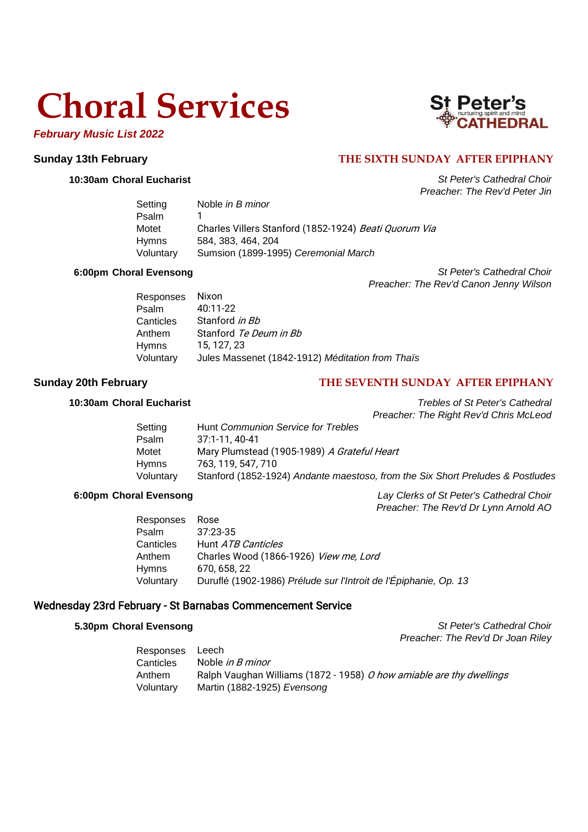# **Choral Services**

## *February Music List 2022*



## **Sunday 13th February THE SIXTH SUNDAY AFTER EPIPHANY**

**10:30am Choral Eucharist** *St Peter's Cathedral Choir Preacher: The Rev'd Peter Jin*

| Setting      | Noble in B minor                                      |  |
|--------------|-------------------------------------------------------|--|
| Psalm        |                                                       |  |
| Motet        | Charles Villers Stanford (1852-1924) Beati Quorum Via |  |
| <b>Hymns</b> | 584, 383, 464, 204                                    |  |
| Voluntary    | Sumsion (1899-1995) Ceremonial March                  |  |
|              |                                                       |  |

**6:00pm Choral Evensong** *St Peter's Cathedral Choir Preacher: The Rev'd Canon Jenny Wilson*

| Responses Nixon |                                                  |
|-----------------|--------------------------------------------------|
| Psalm           | 40:11-22                                         |
| Canticles       | Stanford in Bb                                   |
| Anthem          | Stanford Te Deum in Bb                           |
| Hymns           | 15, 127, 23                                      |
| Voluntary       | Jules Massenet (1842-1912) Méditation from Thaïs |

## **Sunday 20th February THE SEVENTH SUNDAY AFTER EPIPHANY**

**10:30am Choral Eucharist** *Trebles of St Peter's Cathedral Preacher: The Right Rev'd Chris McLeod*

| Hunt Communion Service for Trebles                                             |
|--------------------------------------------------------------------------------|
| 37:1-11.40-41                                                                  |
| Mary Plumstead (1905-1989) A Grateful Heart                                    |
| 763, 119, 547, 710                                                             |
| Stanford (1852-1924) Andante maestoso, from the Six Short Preludes & Postludes |
|                                                                                |

**6:00pm Choral Evensong** *Lay Clerks of St Peter's Cathedral Choir Preacher: The Rev'd Dr Lynn Arnold AO*

| Responses | Rose                                                             |
|-----------|------------------------------------------------------------------|
| Psalm     | 37:23-35                                                         |
| Canticles | Hunt <i>ATB Canticles</i>                                        |
| Anthem    | Charles Wood (1866-1926) View me, Lord                           |
| Hymns     | 670, 658, 22                                                     |
| Voluntary | Duruflé (1902-1986) Prélude sur l'Introit de l'Épiphanie, Op. 13 |

### Wednesday 23rd February - St Barnabas Commencement Service

**5.30pm Choral Evensong** *St Peter's Cathedral Choir Preacher: The Rev'd Dr Joan Riley*

| Responses | Leech                                                                |
|-----------|----------------------------------------------------------------------|
| Canticles | Noble <i>in B minor</i>                                              |
| Anthem    | Ralph Vaughan Williams (1872 - 1958) O how amiable are thy dwellings |
| Voluntary | Martin (1882-1925) Evensong                                          |